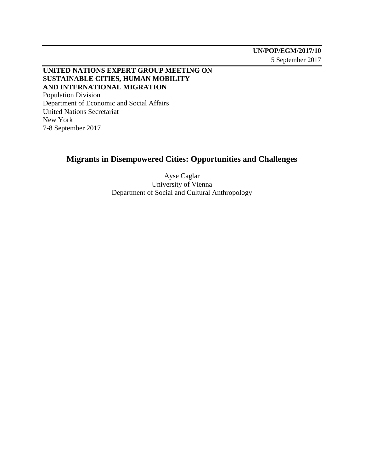**UNITED NATIONS EXPERT GROUP MEETING ON SUSTAINABLE CITIES, HUMAN MOBILITY AND INTERNATIONAL MIGRATION** Population Division Department of Economic and Social Affairs United Nations Secretariat New York

7-8 September 2017

## **Migrants in Disempowered Cities: Opportunities and Challenges**

Ayse Caglar University of Vienna Department of Social and Cultural Anthropology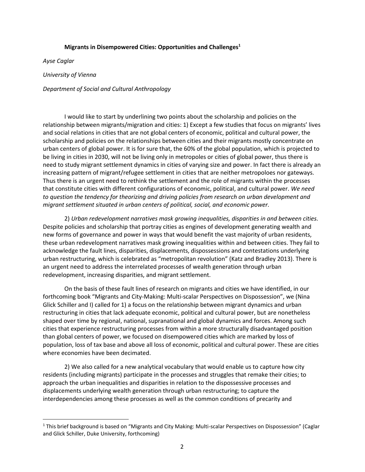## **Migrants in Disempowered Cities: Opportunities and Challenges<sup>1</sup>**

*Ayse Caglar*

 $\overline{a}$ 

*University of Vienna* 

*Department of Social and Cultural Anthropology*

I would like to start by underlining two points about the scholarship and policies on the relationship between migrants/migration and cities: 1) Except a few studies that focus on migrants' lives and social relations in cities that are not global centers of economic, political and cultural power, the scholarship and policies on the relationships between cities and their migrants mostly concentrate on urban centers of global power. It is for sure that, the 60% of the global population, which is projected to be living in cities in 2030, will not be living only in metropoles or cities of global power, thus there is need to study migrant settlement dynamics in cities of varying size and power. In fact there is already an increasing pattern of migrant/refugee settlement in cities that are neither metropoloes nor gateways. Thus there is an urgent need to rethink the settlement and the role of migrants within the processes that constitute cities with different configurations of economic, political, and cultural power. *We need to question the tendency for theorizing and driving policies from research on urban development and migrant settlement situated in urban centers of political, social, and economic power.*

2) *Urban redevelopment narratives mask growing inequalities, disparities in and between cities.*  Despite policies and scholarship that portray cities as engines of development generating wealth and new forms of governance and power in ways that would benefit the vast majority of urban residents, these urban redevelopment narratives mask growing inequalities within and between cities. They fail to acknowledge the fault lines, disparities, displacements, dispossessions and contestations underlying urban restructuring, which is celebrated as "metropolitan revolution" (Katz and Bradley 2013). There is an urgent need to address the interrelated processes of wealth generation through urban redevelopment, increasing disparities, and migrant settlement.

On the basis of these fault lines of research on migrants and cities we have identified, in our forthcoming book "Migrants and City-Making: Multi-scalar Perspectives on Dispossession", we (Nina Glick Schiller and I) called for 1) a focus on the relationship between migrant dynamics and urban restructuring in cities that lack adequate economic, political and cultural power, but are nonetheless shaped over time by regional, national, supranational and global dynamics and forces. Among such cities that experience restructuring processes from within a more structurally disadvantaged position than global centers of power, we focused on disempowered cities which are marked by loss of population, loss of tax base and above all loss of economic, political and cultural power. These are cities where economies have been decimated.

2) We also called for a new analytical vocabulary that would enable us to capture how city residents (including migrants) participate in the processes and struggles that remake their cities; to approach the urban inequalities and disparities in relation to the dispossessive processes and displacements underlying wealth generation through urban restructuring; to capture the interdependencies among these processes as well as the common conditions of precarity and

<sup>&</sup>lt;sup>1</sup> This brief background is based on "Migrants and City Making: Multi-scalar Perspectives on Dispossession" (Caglar and Glick Schiller, Duke University, forthcoming)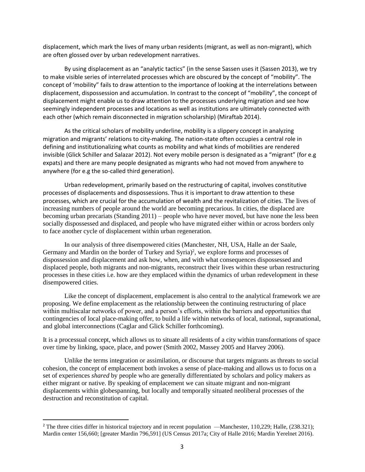displacement, which mark the lives of many urban residents (migrant, as well as non-migrant), which are often glossed over by urban redevelopment narratives.

By using displacement as an "analytic tactics" (in the sense Sassen uses it (Sassen 2013), we try to make visible series of interrelated processes which are obscured by the concept of "mobility". The concept of 'mobility" fails to draw attention to the importance of looking at the interrelations between displacement, dispossession and accumulation. In contrast to the concept of "mobility", the concept of displacement might enable us to draw attention to the processes underlying migration and see how seemingly independent processes and locations as well as institutions are ultimately connected with each other (which remain disconnected in migration scholarship) (Miraftab 2014).

As the critical scholars of mobility underline, mobility is a slippery concept in analyzing migration and migrants' relations to city-making. The nation-state often occupies a central role in defining and institutionalizing what counts as mobility and what kinds of mobilities are rendered invisible (Glick Schiller and Salazar 2012). Not every mobile person is designated as a "migrant" (for e.g expats) and there are many people designated as migrants who had not moved from anywhere to anywhere (for e.g the so-called third generation).

Urban redevelopment, primarily based on the restructuring of capital, involves constitutive processes of displacements and dispossessions. Thus it is important to draw attention to these processes, which are crucial for the accumulation of wealth and the revitalization of cities. The lives of increasing numbers of people around the world are becoming precarious. In cities, the displaced are becoming urban precariats (Standing 2011) – people who have never moved, but have none the less been socially dispossessed and displaced, and people who have migrated either within or across borders only to face another cycle of displacement within urban regeneration.

In our analysis of three disempowered cities (Manchester, NH, USA, Halle an der Saale, Germany and Mardin on the border of Turkey and Syria)<sup>2</sup>, we explore forms and processes of dispossession and displacement and ask how, when, and with what consequences dispossessed and displaced people, both migrants and non-migrants, reconstruct their lives within these urban restructuring processes in these cities i.e. how are they emplaced within the dynamics of urban redevelopment in these disempowered cities.

Like the concept of displacement, emplacement is also central to the analytical framework we are proposing. We define emplacement as the relationship between the continuing restructuring of place within multiscalar networks of power, and a person's efforts, within the barriers and opportunities that contingencies of local place-making offer, to build a life within networks of local, national, supranational, and global interconnections (Caglar and Glick Schiller forthcoming).

It is a processual concept, which allows us to situate all residents of a city within transformations of space over time by linking, space, place, and power (Smith 2002, Massey 2005 and Harvey 2006).

Unlike the terms integration or assimilation, or discourse that targets migrants as threats to social cohesion, the concept of emplacement both invokes a sense of place-making and allows us to focus on a set of experiences *shared* by people who are generally differentiated by scholars and policy makers as either migrant or native. By speaking of emplacement we can situate migrant and non-migrant displacements within globespanning, but locally and temporally situated neoliberal processes of the destruction and reconstitution of capital.

 $\overline{a}$ 

<sup>&</sup>lt;sup>2</sup> The three cities differ in historical trajectory and in recent population —Manchester, 110,229; Halle,  $(238.321)$ ; Mardin center 156,660; [greater Mardin 796,591] (US Census 2017a; City of Halle 2016; Mardin Yerelnet 2016).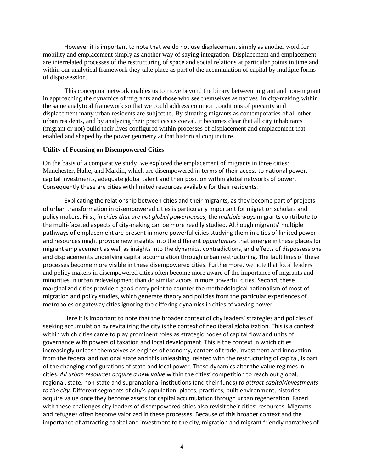However it is important to note that we do not use displacement simply as another word for mobility and emplacement simply as another way of saying integration. Displacement and emplacement are interrelated processes of the restructuring of space and social relations at particular points in time and within our analytical framework they take place as part of the accumulation of capital by multiple forms of dispossession.

This conceptual network enables us to move beyond the binary between migrant and non-migrant in approaching the dynamics of migrants and those who see themselves as natives in city-making within the same analytical framework so that we could address common conditions of precarity and displacement many urban residents are subject to. By situating migrants as contemporaries of all other urban residents, and by analyzing their practices as coeval, it becomes clear that all city inhabitants (migrant or not) build their lives configured within processes of displacement and emplacement that enabled and shaped by the power geometry at that historical conjuncture.

## **Utility of Focusing on Disempowered Cities**

On the basis of a comparative study, we explored the emplacement of migrants in three cities: Manchester, Halle, and Mardin, which are disempowered in terms of their access to national power, capital investments, adequate global talent and their position within global networks of power. Consequently these are cities with limited resources available for their residents.

Explicating the relationship between cities and their migrants, as they become part of projects of urban transformation in disempowered cities is particularly important for migration scholars and policy makers. First, *in cities that are not global powerhouses*, the *multiple ways* migrants contribute to the multi-faceted aspects of city-making can be more readily studied. Although migrants' multiple pathways of emplacement are present in more powerful cities studying them in cities of limited power and resources might provide new insights into the different *opportunites* that emerge in these places for migrant emplacement as well as insights into the dynamics, contradictions, and effects of dispossessions and displacements underlying capital accumulation through urban restructuring. The fault lines of these processes become more visible in these disempowered cities. Furthermore, we note that local leaders and policy makers in disempowered cities often become more aware of the importance of migrants and minorities in urban redevelopment than do similar actors in more powerful cities. Second, these marginalized cities provide a good entry point to counter the methodological nationalism of most of migration and policy studies, which generate theory and policies from the particular experiences of metropoles or gateway cities ignoring the differing dynamics in cities of varying power.

Here it is important to note that the broader context of city leaders' strategies and policies of seeking accumulation by revitalizing the city is the context of neoliberal globalization. This is a context within which cities came to play prominent roles as strategic nodes of capital flow and units of governance with powers of taxation and local development. This is the context in which cities increasingly unleash themselves as engines of economy, centers of trade, investment and innovation from the federal and national state and this unleashing, related with the restructuring of capital, is part of the changing configurations of state and local power. These dynamics alter the value regimes in cities. *All urban resources acquire a new value* within the cities' competition to reach out global, regional, state, non-state and supranational institutions (and their funds) *to attract capital/investments to the city*. Different segments of city's population, places, practices, built environment, histories acquire value once they become assets for capital accumulation through urban regeneration. Faced with these challenges city leaders of disempowered cities also revisit their cities' resources. Migrants and refugees often become valorized in these processes. Because of this broader context and the importance of attracting capital and investment to the city, migration and migrant friendly narratives of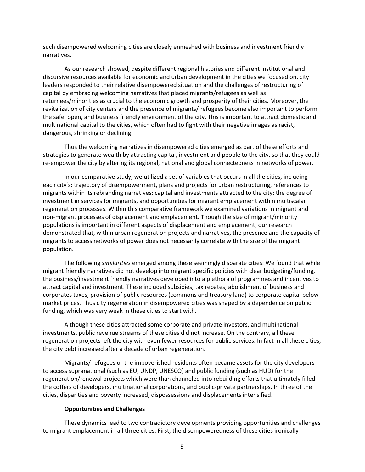such disempowered welcoming cities are closely enmeshed with business and investment friendly narratives.

As our research showed, despite different regional histories and different institutional and discursive resources available for economic and urban development in the cities we focused on, city leaders responded to their relative disempowered situation and the challenges of restructuring of capital by embracing welcoming narratives that placed migrants/refugees as well as returnees/minorities as crucial to the economic growth and prosperity of their cities. Moreover, the revitalization of city centers and the presence of migrants/ refugees become also important to perform the safe, open, and business friendly environment of the city. This is important to attract domestic and multinational capital to the cities, which often had to fight with their negative images as racist, dangerous, shrinking or declining.

Thus the welcoming narratives in disempowered cities emerged as part of these efforts and strategies to generate wealth by attracting capital, investment and people to the city, so that they could re-empower the city by altering its regional, national and global connectedness in networks of power.

In our comparative study, we utilized a set of variables that occurs in all the cities, including each city's: trajectory of disempowerment, plans and projects for urban restructuring, references to migrants within its rebranding narratives; capital and investments attracted to the city; the degree of investment in services for migrants, and opportunities for migrant emplacement within multiscalar regeneration processes. Within this comparative framework we examined variations in migrant and non-migrant processes of displacement and emplacement. Though the size of migrant/minority populations is important in different aspects of displacement and emplacement, our research demonstrated that, within urban regeneration projects and narratives, the presence and the capacity of migrants to access networks of power does not necessarily correlate with the size of the migrant population.

The following *similarities* emerged among these seemingly disparate cities: We found that while migrant friendly narratives did not develop into migrant specific policies with clear budgeting/funding, the business/investment friendly narratives developed into a plethora of programmes and incentives to attract capital and investment. These included subsidies, tax rebates, abolishment of business and corporates taxes, provision of public resources (commons and treasury land) to corporate capital below market prices. Thus city regeneration in disempowered cities was shaped by a dependence on public funding, which was very weak in these cities to start with.

Although these cities attracted some corporate and private investors, and multinational investments, public revenue streams of these cities did not increase. On the contrary, all these regeneration projects left the city with even fewer resources for public services. In fact in all these cities, the city debt increased after a decade of urban regeneration.

Migrants/ refugees or the impoverished residents often became assets for the city developers to access supranational (such as EU, UNDP, UNESCO) and public funding (such as HUD) for the regeneration/renewal projects which were than channeled into rebuilding efforts that ultimately filled the coffers of developers, multinational corporations, and public-private partnerships. In three of the cities, disparities and poverty increased, dispossessions and displacements intensified.

## **Opportunities and Challenges**

These dynamics lead to two contradictory developments providing opportunities and challenges to migrant emplacement in all three cities. First, the disempoweredness of these cities ironically